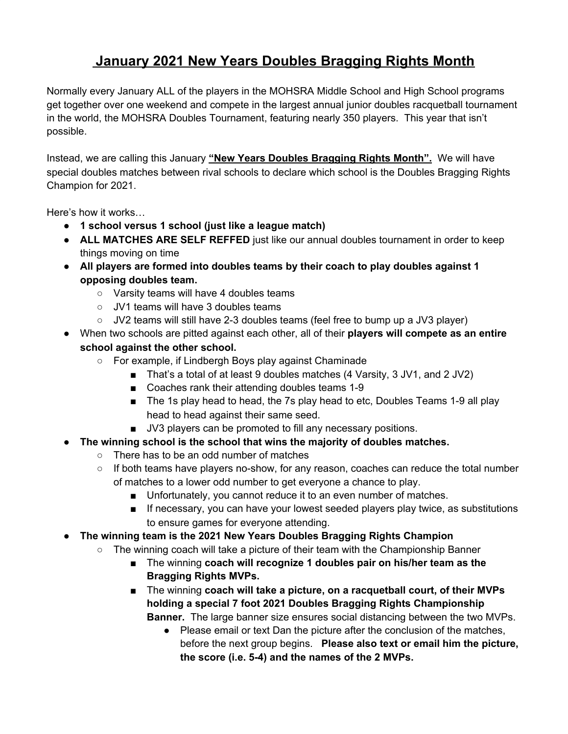# **January 2021 New Years Doubles Bragging Rights Month**

Normally every January ALL of the players in the MOHSRA Middle School and High School programs get together over one weekend and compete in the largest annual junior doubles racquetball tournament in the world, the MOHSRA Doubles Tournament, featuring nearly 350 players. This year that isn't possible.

Instead, we are calling this January **"New Years Doubles Bragging Rights Month".** We will have special doubles matches between rival schools to declare which school is the Doubles Bragging Rights Champion for 2021.

Here's how it works…

- **● 1 school versus 1 school (just like a league match)**
- **● ALL MATCHES ARE SELF REFFED** just like our annual doubles tournament in order to keep things moving on time
- **● All players are formed into doubles teams by their coach to play doubles against 1 opposing doubles team.**
	- Varsity teams will have 4 doubles teams
	- JV1 teams will have 3 doubles teams
	- JV2 teams will still have 2-3 doubles teams (feel free to bump up a JV3 player)
- When two schools are pitted against each other, all of their **players will compete as an entire school against the other school.**
	- For example, if Lindbergh Boys play against Chaminade
		- That's a total of at least 9 doubles matches (4 Varsity, 3 JV1, and 2 JV2)
		- Coaches rank their attending doubles teams 1-9
		- The 1s play head to head, the 7s play head to etc, Doubles Teams 1-9 all play head to head against their same seed.
		- JV3 players can be promoted to fill any necessary positions.
- **● The winning school is the school that wins the majority of doubles matches.**
	- There has to be an odd number of matches
	- If both teams have players no-show, for any reason, coaches can reduce the total number of matches to a lower odd number to get everyone a chance to play.
		- Unfortunately, you cannot reduce it to an even number of matches.
		- If necessary, you can have your lowest seeded players play twice, as substitutions to ensure games for everyone attending.
- **● The winning team is the 2021 New Years Doubles Bragging Rights Champion**
	- $\circ$  The winning coach will take a picture of their team with the Championship Banner
		- The winning **coach will recognize 1 doubles pair on his/her team as the Bragging Rights MVPs.**
		- The winning **coach will take a picture, on a racquetball court, of their MVPs holding a special 7 foot 2021 Doubles Bragging Rights Championship Banner.** The large banner size ensures social distancing between the two MVPs.
			- Please email or text Dan the picture after the conclusion of the matches, before the next group begins. **Please also text or email him the picture, the score (i.e. 5-4) and the names of the 2 MVPs.**